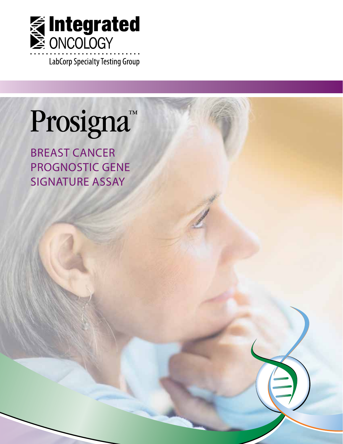

# Prosigna<sup>™</sup>

**BREAST CANCER** PROGNOSTIC GENE **SIGNATURE ASSAY**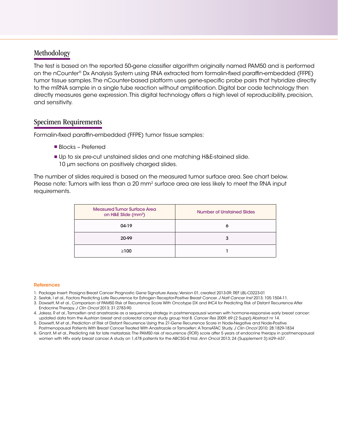### Methodology

The test is based on the reported 50-gene classifier algorithm originally named PAM50 and is performed on the nCounter® Dx Analysis System using RNA extracted from formalin-fixed paraffin-embedded (FFPE) tumor tissue samples. The nCounter-based platform uses gene-specific probe pairs that hybridize directly to the mRNA sample in a single tube reaction without amplification. Digital bar code technology then directly measures gene expression. This digital technology offers a high level of reproducibility, precision, and sensitivity.

#### Specimen Requirements

Formalin-fixed paraffin-embedded (FFPE) tumor tissue samples:

- Blocks Preferred
- Up to six pre-cut unstained slides and one matching H&E-stained slide. 10 µm sections on positively charged slides.

The number of slides required is based on the measured tumor surface area. See chart below. Please note: Tumors with less than a 20 mm<sup>2</sup> surface area are less likely to meet the RNA input requirements.

| <b>Measured Tumor Surface Area</b><br>on H&E Slide (mm <sup>2</sup> ) | Number of Unstained Slides |  |
|-----------------------------------------------------------------------|----------------------------|--|
| 04-19                                                                 | o                          |  |
| 20-99                                                                 | 3                          |  |
| $\geq 100$                                                            |                            |  |

#### References

- 1. Package Insert: Prosigna Breast Cancer Prognostic Gene Signature Assay; Version 01, created 2013-09; REF LBL-C0223-01
- 2. Sestak, I et al., Factors Predicting Late Recurrence for Estrogen Receptor-Positive Breast Cancer. *J Natl Cancer Inst* 2013; 105:1504-11.
- 3. Dowsett, M et al., Comparison of PAM50 Risk of Recurrence Score With Oncotype DX and IHC4 for Predicting Risk of Distant Recurrence After Endocrine Therapy. *J Clin Oncol* 2013; 31:2783-90.
- 4. Jakesz, R et al., Tamoxifen and anastrozole as a sequencing strategy in postmenopausal women with hormone-responsive early breast cancer: updated data from the Austrian breast and colorectal cancer study group trial 8. *Cancer Res* 2009; 69:(2 Suppl):Abstract nr 14.
- 5. Dowsett, M et al., Prediction of Risk of Distant Recurrence Using the 21-Gene Recurrence Score in Node-Negative and Node-Positive Postmenopausal Patients With Breast Cancer Treated With Anastrozole or Tamoxifen: A TransATAC Study. *J Clin Oncol* 2010; 28:1829-1834
- 6. Gnant, M et al., Predicting risk for late metastasis: The PAM50 risk of recurrence (ROR) score after 5 years of endocrine therapy in postmenopausal women with HR+ early breast cancer. A study on 1,478 patients for the ABCSG-8 trial. *Ann Oncol* 2013; 24 (Supplement 3):iii29–iii37.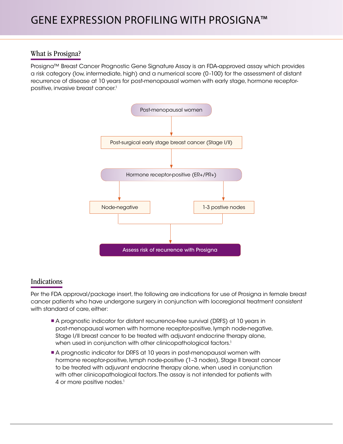# What is Prosigna?

Prosigna™ Breast Cancer Prognostic Gene Signature Assay is an FDA-approved assay which provides a risk category (low, intermediate, high) and a numerical score (0 -100) for the assessment of distant recurrence of disease at 10 years for post-menopausal women with early stage, hormone receptorpositive, invasive breast cancer.<sup>1</sup>



# Indications

Per the FDA approval/package insert, the following are indications for use of Prosigna in female breast cancer patients who have undergone surgery in conjunction with locoregional treatment consistent with standard of care, either:

- A prognostic indicator for distant recurrence-free survival (DRFS) at 10 years in post-menopausal women with hormone receptor-positive, lymph node-negative, Stage I/II breast cancer to be treated with adjuvant endocrine therapy alone, when used in conjunction with other clinicopathological factors.<sup>1</sup>
- A prognostic indicator for DRFS at 10 years in post-menopausal women with hormone receptor-positive, lymph node-positive (1–3 nodes), Stage II breast cancer to be treated with adjuvant endocrine therapy alone, when used in conjunction with other clinicopathological factors. The assay is not intended for patients with 4 or more positive nodes.<sup>1</sup>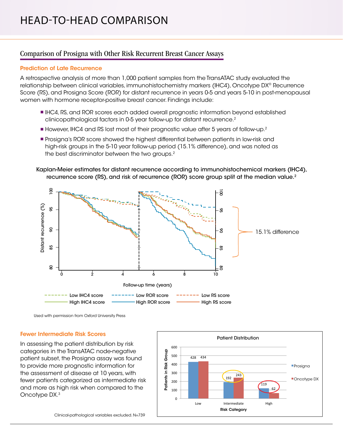# Comparison of Prosigna with Other Risk Recurrent Breast Cancer Assays

#### Prediction of Late Recurrence

A retrospective analysis of more than 1,000 patient samples from the TransATAC study evaluated the relationship between clinical variables, immunohistochemistry markers (IHC4), Oncotype DX® Recurrence Score (RS), and Prosigna Score (ROR) for distant recurrence in years 0-5 and years 5-10 in post-menopausal women with hormone receptor-positive breast cancer. Findings include:

- IHC4, RS, and ROR scores each added overall prognostic information beyond established clinicopathological factors in 0-5 year follow-up for distant recurrence.2
- **However, IHC4 and RS lost most of their prognostic value after 5 years of follow-up.<sup>2</sup>**
- **Prosigna's ROR score showed the highest differential between patients in low-risk and** high-risk groups in the 5-10 year follow-up period (15.1% difference), and was noted as the best discriminator between the two groups.2

#### Kaplan-Meier estimates for distant recurrence according to immunohistochemical markers (IHC4), recurrence score (RS), and risk of recurrence (ROR) score group split at the median value.<sup>2</sup>



Used with permission from Oxford University Press

#### Fewer Intermediate Risk Scores

In assessing the patient distribution by risk categories in the TransATAC node-negative patient subset, the Prosigna assay was found to provide more prognostic information for the assessment of disease at 10 years, with fewer patients categorized as intermediate risk and more as high risk when compared to the Oncotype DX.3

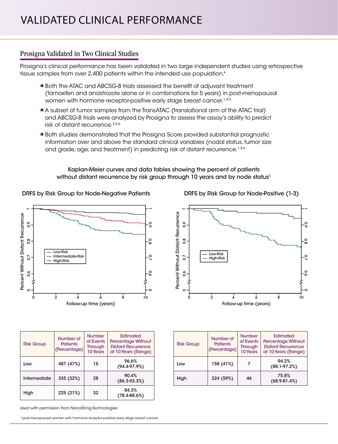# Prosigna Validated in Two Clinical Studies

Prosigna's clinical performance has been validated in two large independent studies using retrospective tissue samples from over 2,400 patients within the intended use population.\*

- Both the ATAC and ABCSG-8 trials assessed the benefit of adjuvant treatment (tamoxifen and anastrozole alone or in combinations for 5 years) in post-menopausal women with hormone receptor-positive early stage breast cancer.<sup>1,4,5</sup>
- A subset of tumor samples from the TransATAC (translational arm of the ATAC trial) and ABCSG-8 trials were analyzed by Prosigna to assess the assay's ability to predict risk of distant recurrence.3,5,6
- Both studies demonstrated that the Prosigna Score provided substantial prognostic information over and above the standard clinical variables (nodal status, tumor size and grade, age, and treatment) in predicting risk of distant recurrence.<sup>1,3,6</sup>

#### Kaplan-Meier curves and data tables showing the percent of patients without distant recurrence by risk group through 10 years and by node status<sup>1</sup>

#### DRFS by Risk Group for Node-Negative Patients



| <b>Risk Group</b> | Number of<br><b>Patients</b><br>(Percentage) | <b>Number</b><br>of Events<br><b>Through</b><br>10 Years | Estimated<br><b>Percentage Without</b><br><b>Distant Recurrence</b><br>at 10 Years (Range) |
|-------------------|----------------------------------------------|----------------------------------------------------------|--------------------------------------------------------------------------------------------|
| Low               | 487 (47%)                                    | 15                                                       | 96.6%<br>(94.4.97.9%)                                                                      |
| Intermediate      | 335 (32%)                                    | 28                                                       | 90.4%<br>$(86.3 - 93.3%)$                                                                  |
| High              | 225 (21%)                                    | 32                                                       | 84.3%<br>$(78.4 - 88.6%)$                                                                  |

Used with permission from NanoString Technologies

\*post-menopausal women with hormone receptor-positive early stage breast cancer

DRFS by Risk Group for Node-Positive (1-3)



| <b>Risk Group</b> | Number of<br><b>Patients</b><br>(Percentage) | <b>Number</b><br>of Events<br><b>Through</b><br>10 Years | Estimated<br><b>Percentage Without</b><br><b>Distant Recurrence</b><br>at 10 Years (Range) |
|-------------------|----------------------------------------------|----------------------------------------------------------|--------------------------------------------------------------------------------------------|
| Low               | 158 (41%)                                    | 7                                                        | 94.2%<br>$(88.1 - 97.2%)$                                                                  |
| High              | 224 (59%)                                    | 46                                                       | 75.8%<br>$(68.9 - 81.4%)$                                                                  |